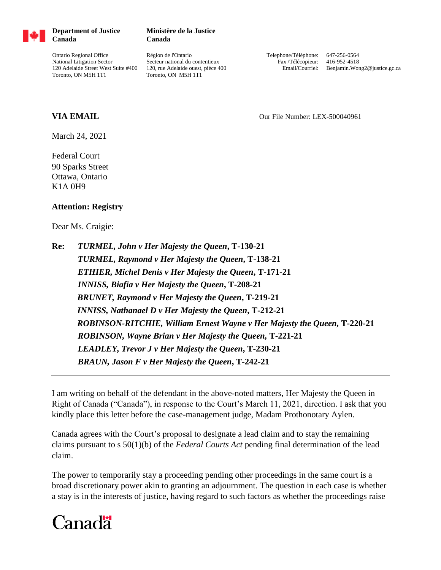

**Department of Justice Canada**

Ontario Regional Office National Litigation Sector 120 Adelaide Street West Suite #400 Toronto, ON M5H 1T1

**Ministère de la Justice Canada**

Région de l'Ontario Secteur national du contentieux 120, rue Adelaide ouest, pièce 400 Toronto, ON M5H 1T1

Telephone/Téléphone: 647-256-0564 Fax /Télécopieur: 416-952-4518 Email/Courriel: Benjamin.Wong2@justice.gc.ca

## **VIA EMAIL Our File Number: LEX-500040961**

March 24, 2021

Federal Court 90 Sparks Street Ottawa, Ontario K1A 0H9

## **Attention: Registry**

Dear Ms. Craigie:

**Re:** *TURMEL, John v Her Majesty the Queen***, T-130-21** *TURMEL, Raymond v Her Majesty the Queen***, T-138-21** *ETHIER, Michel Denis v Her Majesty the Queen***, T-171-21** *INNISS, Biafia v Her Majesty the Queen***, T-208-21** *BRUNET, Raymond v Her Majesty the Queen***, T-219-21** *INNISS, Nathanael D v Her Majesty the Queen***, T-212-21** *ROBINSON-RITCHIE, William Ernest Wayne v Her Majesty the Queen,* **T-220-21** *ROBINSON, Wayne Brian v Her Majesty the Queen,* **T-221-21** *LEADLEY, Trevor J v Her Majesty the Queen***, T-230-21** *BRAUN, Jason F v Her Majesty the Queen***, T-242-21**

I am writing on behalf of the defendant in the above-noted matters, Her Majesty the Queen in Right of Canada ("Canada"), in response to the Court's March 11, 2021, direction. I ask that you kindly place this letter before the case-management judge, Madam Prothonotary Aylen.

Canada agrees with the Court's proposal to designate a lead claim and to stay the remaining claims pursuant to s 50(1)(b) of the *Federal Courts Act* pending final determination of the lead claim.

The power to temporarily stay a proceeding pending other proceedings in the same court is a broad discretionary power akin to granting an adjournment. The question in each case is whether a stay is in the interests of justice, having regard to such factors as whether the proceedings raise

## Canadä